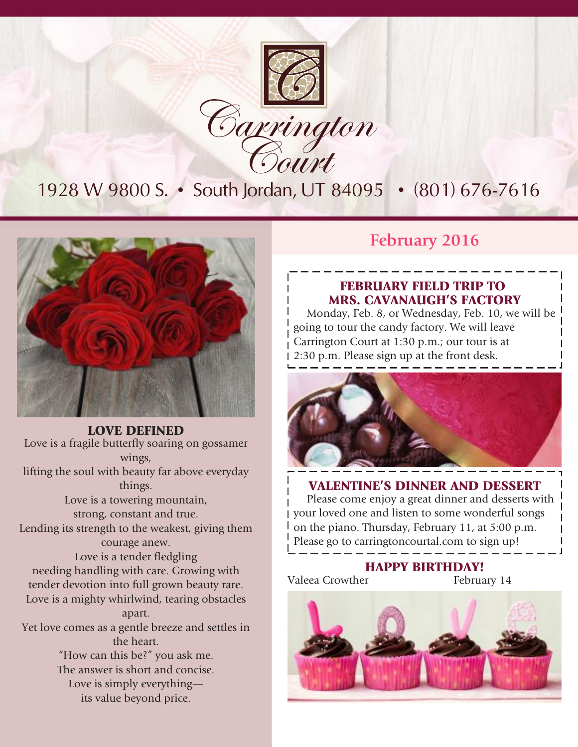

1928 W 9800 S. • South Jordan, UT 84095 • (801) 676-7616



LOVE DEFINED Love is a fragile butterfly soaring on gossamer wings, lifting the soul with beauty far above everyday things. Love is a towering mountain, strong, constant and true. Lending its strength to the weakest, giving them courage anew. Love is a tender fledgling needing handling with care. Growing with tender devotion into full grown beauty rare. Love is a mighty whirlwind, tearing obstacles apart. Yet love comes as a gentle breeze and settles in the heart. "How can this be?" you ask me. The answer is short and concise. Love is simply everything its value beyond price.

### **February 2016**

### FEBRUARY FIELD TRIP TO MRS. CAVANAUGH'S FACTORY

Monday, Feb. 8, or Wednesday, Feb. 10, we will be going to tour the candy factory. We will leave Carrington Court at 1:30 p.m.; our tour is at 2:30 p.m. Please sign up at the front desk.



### VALENTINE'S DINNER AND DESSERT

Please come enjoy a great dinner and desserts with your loved one and listen to some wonderful songs on the piano. Thursday, February 11, at 5:00 p.m. Please go to carringtoncourtal.com to sign up!

Valeea Crowther

**PPY BIRTHDAY!**<br>February 14

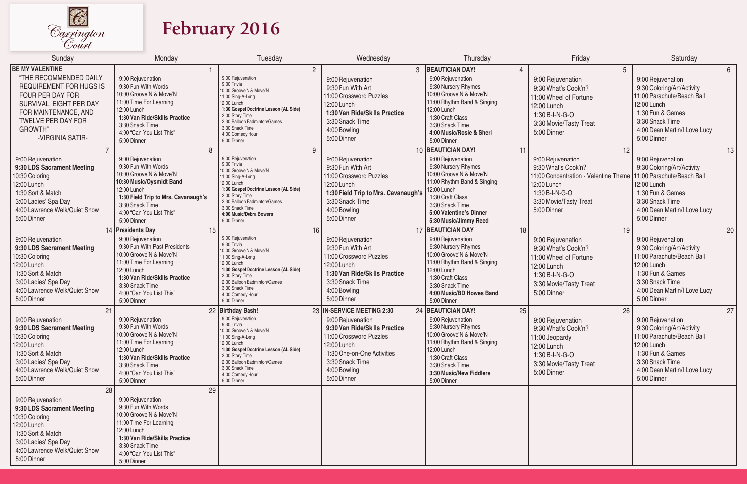

# **February 2016**

| Sunday                                                                                                                                                                                 | Monday                                                                                                                                                                                                                 | Tuesday                                                                                                                                                                                                                                                                | Wednesday                                                                                                                                                                                                  | Thursday                                                                                                                                                                                                                 | Friday                                                                                                                                           | Saturday                                                                                                                                                                                 |
|----------------------------------------------------------------------------------------------------------------------------------------------------------------------------------------|------------------------------------------------------------------------------------------------------------------------------------------------------------------------------------------------------------------------|------------------------------------------------------------------------------------------------------------------------------------------------------------------------------------------------------------------------------------------------------------------------|------------------------------------------------------------------------------------------------------------------------------------------------------------------------------------------------------------|--------------------------------------------------------------------------------------------------------------------------------------------------------------------------------------------------------------------------|--------------------------------------------------------------------------------------------------------------------------------------------------|------------------------------------------------------------------------------------------------------------------------------------------------------------------------------------------|
| <b>BE MY VALENTINE</b><br>"THE RECOMMENDED DAILY<br><b>REQUIREMENT FOR HUGS IS</b><br>FOUR PER DAY FOR<br>SURVIVAL, EIGHT PER DAY<br>FOR MAINTENANCE, AND<br><b>TWELVE PER DAY FOR</b> | 9:00 Rejuvenation<br>9:30 Fun With Words<br>10:00 Groove'N & Move'N<br>11:00 Time For Learning<br>12:00 Lunch<br>1:30 Van Ride/Skills Practice<br>3:30 Snack Time                                                      | $\overline{2}$<br>9:00 Rejuvenation<br>9:30 Trivia<br>10:00 Groove'N & Move'N<br>11:00 Sing-A-Long<br>12:00 Lunch<br>1:30 Gospel Doctrine Lesson (AL Side)<br>2:00 Story Time<br>2:30 Balloon Badminton/Games<br>3:30 Snack Time                                       | 3<br>9:00 Rejuvenation<br>9:30 Fun With Art<br>11:00 Crossword Puzzles<br>12:00 Lunch<br>1:30 Van Ride/Skills Practice<br>3:30 Snack Time                                                                  | <b>BEAUTICIAN DAY!</b><br>9:00 Rejuvenation<br>9:30 Nursery Rhymes<br>10:00 Groove'N & Move'N<br>11:00 Rhythm Band & Singing<br>12:00 Lunch<br>1:30 Craft Class<br>3:30 Snack Time                                       | 5<br>9:00 Rejuvenation<br>9:30 What's Cook'n?<br>11:00 Wheel of Fortune<br>12:00 Lunch<br>1:30 B-I-N-G-O<br>3:30 Movie/Tasty Treat               | 6 <sup>°</sup><br>9:00 Rejuvenation<br>9:30 Coloring/Art/Activity<br>11:00 Parachute/Beach Ball<br>12:00 Lunch<br>1:30 Fun & Games<br>3:30 Snack Time                                    |
| <b>GROWTH"</b><br>-VIRGINIA SATIR-<br>9:00 Rejuvenation<br>9:30 LDS Sacrament Meeting<br>10:30 Coloring<br>12:00 Lunch                                                                 | 4:00 "Can You List This"<br>5:00 Dinner<br>8<br>9:00 Rejuvenation<br>9:30 Fun With Words<br>10:00 Groove'N & Move'N<br>10:30 Music/Oysmidt Band                                                                        | 4:00 Comedy Hour<br>5:00 Dinner<br>9<br>9:00 Rejuvenation<br>9:30 Trivia<br>10:00 Groove'N & Move'N<br>11:00 Sing-A-Long<br>12:00 Lunch                                                                                                                                | 4:00 Bowling<br>5:00 Dinner<br>9:00 Rejuvenation<br>9:30 Fun With Art<br>11:00 Crossword Puzzles<br>12:00 Lunch                                                                                            | 4:00 Music/Rosie & Sheri<br>5:00 Dinner<br>10 BEAUTICIAN DAY!<br>9:00 Rejuvenation<br>9:30 Nursery Rhymes<br>10:00 Groove'N & Move'N<br>11:00 Rhythm Band & Singing                                                      | 5:00 Dinner<br>11<br>12<br>9:00 Rejuvenation<br>9:30 What's Cook'n?<br>11:00 Concentration - Valentine Theme<br>12:00 Lunch                      | 4:00 Dean Martin/I Love Lucy<br>5:00 Dinner<br>13<br>9:00 Rejuvenation<br>9:30 Coloring/Art/Activity<br>11:00 Parachute/Beach Ball<br>12:00 Lunch                                        |
| 1:30 Sort & Match<br>3:00 Ladies' Spa Day<br>4:00 Lawrence Welk/Quiet Show<br>5:00 Dinner                                                                                              | 12:00 Lunch<br>1:30 Field Trip to Mrs. Cavanaugh's<br>3:30 Snack Time<br>4:00 "Can You List This"<br>5:00 Dinner<br>14 Presidents Day<br>15                                                                            | 1:30 Gospel Doctrine Lesson (AL Side)<br>2:00 Story Time<br>2:30 Balloon Badminton/Games<br>3:30 Snack Time<br>4:00 Music/Debra Bowers<br>5:00 Dinner<br>16                                                                                                            | 1:30 Field Trip to Mrs. Cavanaugh's<br>3:30 Snack Time<br>4:00 Bowling<br>5:00 Dinner                                                                                                                      | 12:00 Lunch<br>1:30 Craft Class<br>3:30 Snack Time<br>5:00 Valentine's Dinner<br>5:30 Music/Jimmy Reed<br>17 BEAUTICIAN DAY                                                                                              | 1:30 B-I-N-G-O<br>3:30 Movie/Tasty Treat<br>5:00 Dinner<br>18<br>19                                                                              | 1:30 Fun & Games<br>3:30 Snack Time<br>4:00 Dean Martin/I Love Lucy<br>5:00 Dinner<br>20                                                                                                 |
| 9:00 Rejuvenation<br>9:30 LDS Sacrament Meeting<br>10:30 Coloring<br>12:00 Lunch<br>1:30 Sort & Match<br>3:00 Ladies' Spa Day<br>4:00 Lawrence Welk/Quiet Show<br>5:00 Dinner          | 9:00 Rejuvenation<br>9:30 Fun With Past Presidents<br>10:00 Groove'N & Move'N<br>11:00 Time For Learning<br>12:00 Lunch<br>1:30 Van Ride/Skills Practice<br>3:30 Snack Time<br>4:00 "Can You List This"<br>5:00 Dinner | 9:00 Rejuvenation<br>9:30 Trivia<br>10:00 Groove'N & Move'N<br>11:00 Sing-A-Long<br>12:00 Lunch<br>1:30 Gospel Doctrine Lesson (AL Side)<br>2:00 Story Time<br>2:30 Balloon Badminton/Games<br>3:30 Snack Time<br>4:00 Comedy Hour<br>5:00 Dinner                      | 9:00 Rejuvenation<br>9:30 Fun With Art<br>11:00 Crossword Puzzles<br>12:00 Lunch<br>1:30 Van Ride/Skills Practice<br>3:30 Snack Time<br>4:00 Bowling<br>5:00 Dinner                                        | 9:00 Rejuvenation<br>9:30 Nursery Rhymes<br>10:00 Groove'N & Move'N<br>11:00 Rhythm Band & Singing<br>12:00 Lunch<br>1:30 Craft Class<br>3:30 Snack Time<br>4:00 Music/BD Howes Band<br>5:00 Dinner                      | 9:00 Rejuvenation<br>9:30 What's Cook'n?<br>11:00 Wheel of Fortune<br>12:00 Lunch<br>1:30 B-I-N-G-O<br>3:30 Movie/Tasty Treat<br>5:00 Dinner     | 9:00 Rejuvenation<br>9:30 Coloring/Art/Activity<br>11:00 Parachute/Beach Ball<br>12:00 Lunch<br>1:30 Fun & Games<br>3:30 Snack Time<br>4:00 Dean Martin/I Love Lucy<br>5:00 Dinner       |
| 21<br>9:00 Rejuvenation<br>9:30 LDS Sacrament Meeting<br>10:30 Coloring<br>12:00 Lunch<br>1:30 Sort & Match<br>3:00 Ladies' Spa Day<br>4:00 Lawrence Welk/Quiet Show<br>5:00 Dinner    | 9:00 Rejuvenation<br>9:30 Fun With Words<br>10:00 Groove'N & Move'N<br>11:00 Time For Learning<br>12:00 Lunch<br>1:30 Van Ride/Skills Practice<br>3:30 Snack Time<br>4:00 "Can You List This"<br>5:00 Dinner           | 22 Birthday Bash!<br>9:00 Rejuvenation<br>9:30 Trivia<br>10:00 Groove'N & Move'N<br>11:00 Sing-A-Long<br>12:00 Lunch<br>1:30 Gospel Doctrine Lesson (AL Side)<br>2:00 Story Time<br>2:30 Balloon Badminton/Games<br>3:30 Snack Time<br>4:00 Comedy Hour<br>5:00 Dinner | 23 IN-SERVICE MEETING 2:30<br>9:00 Rejuvenation<br>9:30 Van Ride/Skills Practice<br>11:00 Crossword Puzzles<br>12:00 Lunch<br>1:30 One-on-One Activities<br>3:30 Snack Time<br>4:00 Bowling<br>5:00 Dinner | 24 BEAUTICIAN DAY!<br>9:00 Rejuvenation<br>9:30 Nursery Rhymes<br>10:00 Groove'N & Move'N<br>11:00 Rhythm Band & Singing<br>12:00 Lunch<br>1:30 Craft Class<br>3:30 Snack Time<br>3:30 Music/New Fiddlers<br>5:00 Dinner | 25<br>26<br>9:00 Rejuvenation<br>9:30 What's Cook'n?<br>11:00 Jeopardy<br>12:00 Lunch<br>1:30 B-I-N-G-O<br>3:30 Movie/Tasty Treat<br>5:00 Dinner | 27<br>9:00 Rejuvenation<br>9:30 Coloring/Art/Activity<br>11:00 Parachute/Beach Ball<br>12:00 Lunch<br>1:30 Fun & Games<br>3:30 Snack Time<br>4:00 Dean Martin/I Love Lucy<br>5:00 Dinner |
| 28<br>9:00 Rejuvenation<br>9:30 LDS Sacrament Meeting<br>10:30 Coloring<br>12:00 Lunch<br>1:30 Sort & Match<br>3:00 Ladies' Spa Day<br>4:00 Lawrence Welk/Quiet Show<br>5:00 Dinner    | 29<br>9:00 Rejuvenation<br>9:30 Fun With Words<br>10:00 Groove'N & Move'N<br>11:00 Time For Learning<br>12:00 Lunch<br>1:30 Van Ride/Skills Practice<br>3:30 Snack Time<br>4:00 "Can You List This"<br>5:00 Dinner     |                                                                                                                                                                                                                                                                        |                                                                                                                                                                                                            |                                                                                                                                                                                                                          |                                                                                                                                                  |                                                                                                                                                                                          |